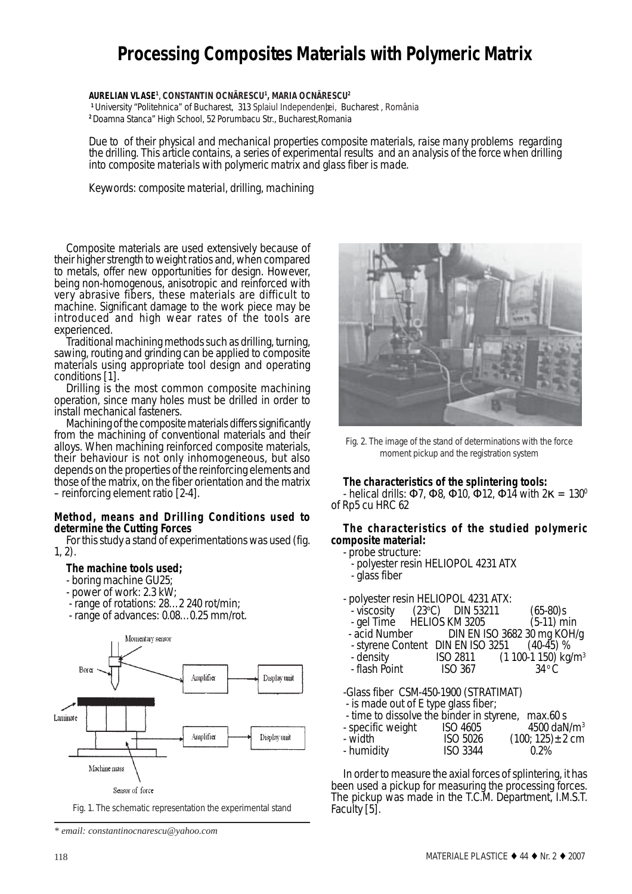# **Processing Composites Materials with Polymeric Matrix**

**AURELIAN VLASE1** , **CONSTANTIN OCNÃRESCU1 , MARIA OCNÃRESCU2**

**<sup>1</sup>**University "Politehnica" of Bucharest, 313 Splaiul Independenþei, Bucharest , România **<sup>2</sup>**Doamna Stanca" High School, 52 Porumbacu Str., Bucharest,Romania

*Due to of their physical and mechanical properties composite materials, raise many problems regarding the drilling. This article contains, a series of experimental results and an analysis of the force when drilling into composite materials with polymeric matrix and glass fiber is made.*

*Keywords: composite material, drilling, machining*

Composite materials are used extensively because of their higher strength to weight ratios and, when compared to metals, offer new opportunities for design. However, being non-homogenous, anisotropic and reinforced with very abrasive fibers, these materials are difficult to machine. Significant damage to the work piece may be introduced and high wear rates of the tools are experienced.<br>Traditional machining methods such as drilling, turning,

sawing, routing and grinding can be applied to composite materials using appropriate tool design and operating conditions [1].

Drilling is the most common composite machining operation, since many holes must be drilled in order to install mechanical fasteners.

Machining of the composite materials differs significantly from the machining of conventional materials and their alloys. When machining reinforced composite materials, their behaviour is not only inhomogeneous, but also depends on the properties of the reinforcing elements and those of the matrix, on the fiber orientation and the matrix – reinforcing element ratio [2-4].

## **Method, means and Drilling Conditions used to determine the Cutting Forces**

For this study a stand of experimentations was used (fig. 1, 2).

## **The machine tools used;**

- boring machine GU25;
- power of work: 2.3 kW;
- range of rotations: 28…2 240 rot/min;
- range of advances: 0.08…0.25 mm/rot.



Sensor of force

Fig. 1. The schematic representation the experimental stand

*\* email: constantinocnarescu@yahoo.com*



Fig. 2. The image of the stand of determinations with the force moment pickup and the registration system

## **The characteristics of the splintering tools:**

- helical drills:  $\Phi$ 7,  $\Phi$ 8,  $\Phi$ 10,  $\Phi$ 12,  $\Phi$ 14 with  $2\kappa = 130^\circ$ of Rp5 cu HRC 62

## **The characteristics of the studied polymeric composite material:**

- probe structure: - polyester resin HELIOPOL 4231 ATX
- glass fiber

- polyester resin HELIOPOL 4231 ATX:

| $\sim$ polyestel feshi helaot ol 4251 ATA.  |                |                                           |  |  |  |  |  |  |  |
|---------------------------------------------|----------------|-------------------------------------------|--|--|--|--|--|--|--|
| $\frac{1}{2}$ viscosity (23 °C) DIN 53211   |                | $(65-80)s$                                |  |  |  |  |  |  |  |
| - gel Time HELIOS KM 3205                   |                | $(5-11)$ min                              |  |  |  |  |  |  |  |
|                                             |                | - acid Number DIN EN ISO 3682 30 mg KOH/g |  |  |  |  |  |  |  |
| - styrene Content DIN EN ISO 3251 (40-45) % |                |                                           |  |  |  |  |  |  |  |
| - density                                   | ISO 2811       | $(1 100-1 150)$ kg/m <sup>3</sup>         |  |  |  |  |  |  |  |
| - flash Point                               | <b>ISO 367</b> | $34^{\circ}$ C                            |  |  |  |  |  |  |  |
|                                             |                |                                           |  |  |  |  |  |  |  |

-Glass fiber CSM-450-1900 (STRATIMAT)

- is made out of E type glass fiber;

| - time to dissolve the binder in styrene, max.60 s |                 |                           |
|----------------------------------------------------|-----------------|---------------------------|
| - specific weight                                  | <b>ISO 4605</b> | $4500$ daN/m <sup>3</sup> |
| - width                                            | <b>ISO 5026</b> | $(100; 125) \pm 2$ cm     |
| - humidity                                         | <b>ISO 3344</b> | $0.2\%$                   |

In order to measure the axial forces of splintering, it has been used a pickup for measuring the processing forces. The pickup was made in the T.C.M. Department, I.M.S.T.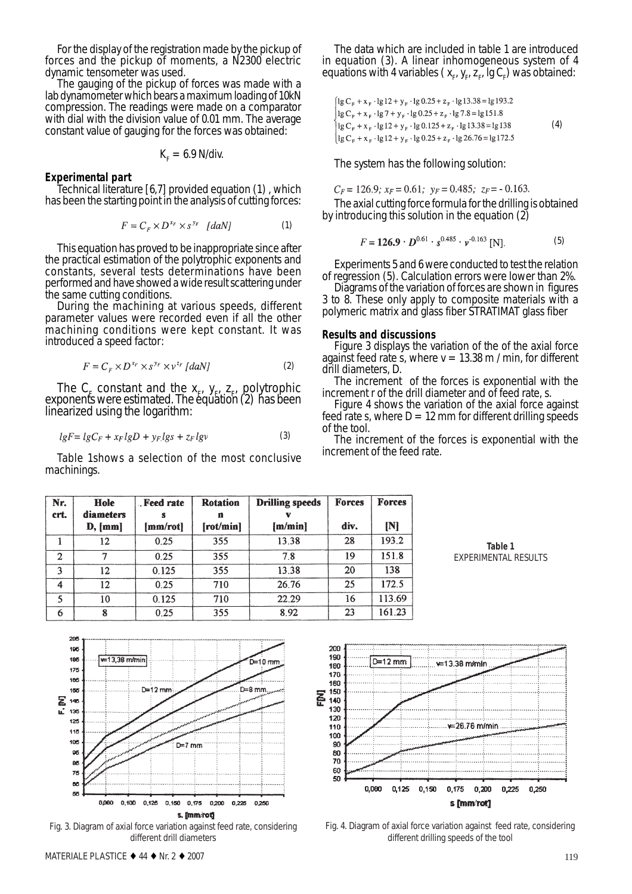For the display of the registration made by the pickup of forces and the pickup of moments, a N2300 electric

dynamic tensometer was used.<br>The gauging of the pickup of forces was made with a lab dynamometer which bears a maximum loading of 10kN compression. The readings were made on a comparator with dial with the division value of 0.01 mm. The average constant value of gauging for the forces was obtained:

$$
K_{\rm F}=6.9\ \rm N/div.
$$

### **Experimental part**

Technical literature [6,7] provided equation (1) , which has been the starting point in the analysis of cutting forces:

$$
F = C_r \times D^{x_r} \times S^{y_r} \quad [daN] \tag{1}
$$

This equation has proved to be inappropriate since after the practical estimation of the polytrophic exponents and constants, several tests determinations have been performed and have showed a wide result scattering under

During the machining at various speeds, different parameter values were recorded even if all the other machining conditions were kept constant. It was introduced a speed factor:

$$
F = C_{\kappa} \times D^{x_F} \times s^{y_F} \times v^{z_F} [daN]
$$
 (2)

The  $C_F$  constant and the  $x_F$ ,  $y_F$ ,  $z_F$ , polytrophic exponents were estimated. The equation (2) has been linearized using the logarithm:

$$
lgF = lgC_F + x_FlgD + y_FlgS + z_Flgv \tag{3}
$$

Table 1shows a selection of the most conclusive machinings.

The data which are included in table 1 are introduced in equation (3). A linear inhomogeneous system of 4 equations with 4 variables ( $x_{p}$   $y_{p}$   $z_{p}^{-}$  lg  $C_{p}$ ) was obtained:

$$
\begin{cases}\n\lg C_{\rm F} + x_{\rm F} \cdot \lg 12 + y_{\rm F} \cdot \lg 0.25 + z_{\rm F} \cdot \lg 13.38 = \lg 193.2 \\
\lg C_{\rm F} + x_{\rm F} \cdot \lg 7 + y_{\rm F} \cdot \lg 0.25 + z_{\rm F} \cdot \lg 7.8 = \lg 151.8 \\
\lg C_{\rm F} + x_{\rm F} \cdot \lg 12 + y_{\rm F} \cdot \lg 0.125 + z_{\rm F} \cdot \lg 13.38 = \lg 138 \\
\lg C_{\rm F} + x_{\rm F} \cdot \lg 12 + y_{\rm F} \cdot \lg 0.25 + z_{\rm F} \cdot \lg 26.76 = \lg 172.5\n\end{cases}
$$
\n(4)

The system has the following solution:

$$
C_F = 126.9
$$
;  $x_F = 0.61$ ;  $y_F = 0.485$ ;  $z_F = -0.163$ .

The axial cutting force formula for the drilling is obtained by introducing this solution in the equation (2)

$$
F = 126.9 \cdot D^{0.61} \cdot s^{0.485} \cdot \nu^{-0.163} \text{ [N]}.
$$
 (5)

Experiments 5 and 6 were conducted to test the relation of regression (5). Calculation errors were lower than 2%.

3 to 8. These only apply to composite materials with a polymeric matrix and glass fiber STRATIMAT glass fiber

#### **Results and discussions**

Figure 3 displays the variation of the of the axial force against feed rate s, where  $v = 13.38$  m / min, for different drill diameters, *D*.

The increment of the forces is exponential with the increment r of the drill diameter and of feed rate, s.

Figure 4 shows the variation of the axial force against feed rate  $\mathfrak s$ , where  $D = 12$  mm for different drilling speeds of the tool.

The increment of the forces is exponential with the increment of the feed rate.

| Nr.<br>crt.    | <b>Hole</b><br>diameters<br>D, [mm] | Feed rate<br>s<br>[mm/rot] | <b>Rotation</b><br>n<br>[rot/min] | <b>Drilling speeds</b><br>[m/min] | <b>Forces</b><br>div. | <b>Forces</b><br>[N] |
|----------------|-------------------------------------|----------------------------|-----------------------------------|-----------------------------------|-----------------------|----------------------|
|                | 12                                  | 0.25                       | 355                               | 13.38                             | 28                    | 193.2                |
| $\overline{2}$ | 7                                   | 0.25                       | 355                               | 7.8                               | 19                    | 151.8                |
| 3              | 12                                  | 0.125                      | 355                               | 13.38                             | 20                    | 138                  |
| A              | 12                                  | 0.25                       | 710                               | 26.76                             | 25                    | 172.5                |
|                | 10                                  | 0.125                      | 710                               | 22.29                             | 16                    | 113.69               |
| 6              |                                     | 0.25                       | 355                               | 8.92                              | 23                    | 161.23               |





Fig. 3. Diagram of axial force variation against feed rate, considering different drill diameters



Fig. 4. Diagram of axial force variation against feed rate, considering different drilling speeds of the tool